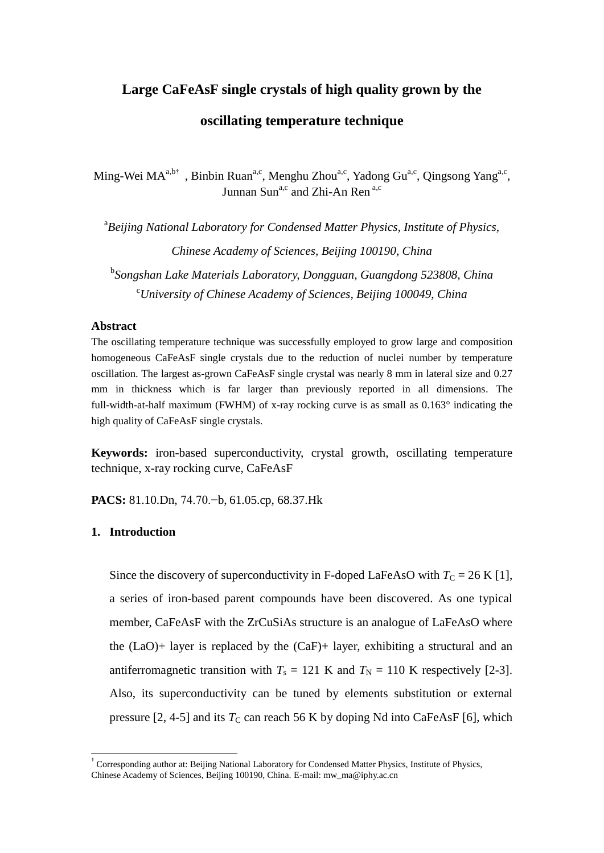# **Large CaFeAsF single crystals of high quality grown by the oscillating temperature technique**

Ming-Wei MA<sup>a,b†</sup>, Binbin Ruan<sup>a,c</sup>, Menghu Zhou<sup>a,c</sup>, Yadong Gu<sup>a,c</sup>, Qingsong Yang<sup>a,c</sup>, Junnan Sun<sup>a,c</sup> and Zhi-An Ren  $a$ ,c

<sup>a</sup> Beijing National Laboratory for Condensed Matter Physics, Institute of Physics, *Chinese Academy of Sciences, Beijing 100190, China* b *Songshan Lake Materials Laboratory, Dongguan, Guangdong 523808, China* <sup>c</sup>*University of Chinese Academy of Sciences, Beijing 100049, China*

#### **Abstract**

The oscillating temperature technique was successfully employed to grow large and composition homogeneous CaFeAsF single crystals due to the reduction of nuclei number by temperature oscillation. The largest as-grown CaFeAsF single crystal was nearly 8 mm in lateral size and 0.27 mm in thickness which is far larger than previously reported in all dimensions. The full-width-at-half maximum (FWHM) of x-ray rocking curve is as small as  $0.163$  ° indicating the high quality of CaFeAsF single crystals.

**Keywords:** iron-based superconductivity, crystal growth, oscillating temperature technique, x-ray rocking curve, CaFeAsF

**PACS:** 81.10.Dn, 74.70.−b, 61.05.cp, 68.37.Hk

#### **1. Introduction**

-

Since the discovery of superconductivity in F-doped LaFeAsO with  $T_C = 26$  K [1], a series of iron-based parent compounds have been discovered. As one typical member, CaFeAsF with the ZrCuSiAs structure is an analogue of LaFeAsO where the  $(LaO)$ + layer is replaced by the  $(CaF)$ + layer, exhibiting a structural and an antiferromagnetic transition with  $T_s = 121$  K and  $T_N = 110$  K respectively [2-3]. Also, its superconductivity can be tuned by elements substitution or external pressure  $[2, 4-5]$  and its  $T_c$  can reach 56 K by doping Nd into CaFeAsF  $[6]$ , which

<sup>†</sup> Corresponding author at: Beijing National Laboratory for Condensed Matter Physics, Institute of Physics, Chinese Academy of Sciences, Beijing 100190, China. E-mail: mw\_ma@iphy.ac.cn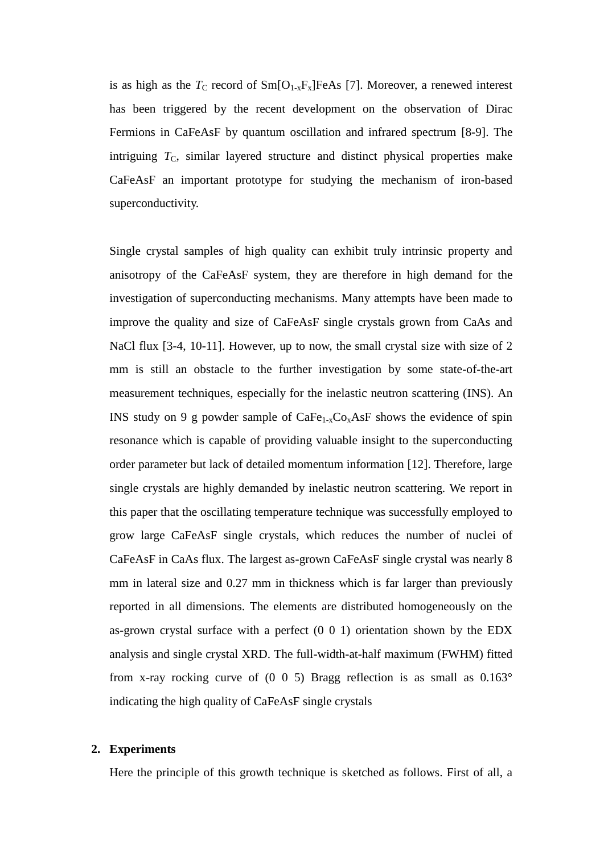is as high as the  $T_{\rm C}$  record of  $\rm Sm[O_{1-x}F_x]FeAs$  [7]. Moreover, a renewed interest has been triggered by the recent development on the observation of Dirac Fermions in CaFeAsF by quantum oscillation and infrared spectrum [8-9]. The intriguing  $T<sub>C</sub>$ , similar layered structure and distinct physical properties make CaFeAsF an important prototype for studying the mechanism of iron-based superconductivity.

Single crystal samples of high quality can exhibit truly intrinsic property and anisotropy of the CaFeAsF system, they are therefore in high demand for the investigation of superconducting mechanisms. Many attempts have been made to improve the quality and size of CaFeAsF single crystals grown from CaAs and NaCl flux [3-4, 10-11]. However, up to now, the small crystal size with size of 2 mm is still an obstacle to the further investigation by some state-of-the-art measurement techniques, especially for the inelastic neutron scattering (INS). An INS study on 9 g powder sample of  $CaFe<sub>1-x</sub>Co<sub>x</sub>AsF$  shows the evidence of spin resonance which is capable of providing valuable insight to the superconducting order parameter but lack of detailed momentum information [12]. Therefore, large single crystals are highly demanded by inelastic neutron scattering. We report in this paper that the oscillating temperature technique was successfully employed to grow large CaFeAsF single crystals, which reduces the number of nuclei of CaFeAsF in CaAs flux. The largest as-grown CaFeAsF single crystal was nearly 8 mm in lateral size and 0.27 mm in thickness which is far larger than previously reported in all dimensions. The elements are distributed homogeneously on the as-grown crystal surface with a perfect (0 0 1) orientation shown by the EDX analysis and single crystal XRD. The full-width-at-half maximum (FWHM) fitted from x-ray rocking curve of  $(0\ 0\ 5)$  Bragg reflection is as small as  $0.163^\circ$ indicating the high quality of CaFeAsF single crystals

# **2. Experiments**

Here the principle of this growth technique is sketched as follows. First of all, a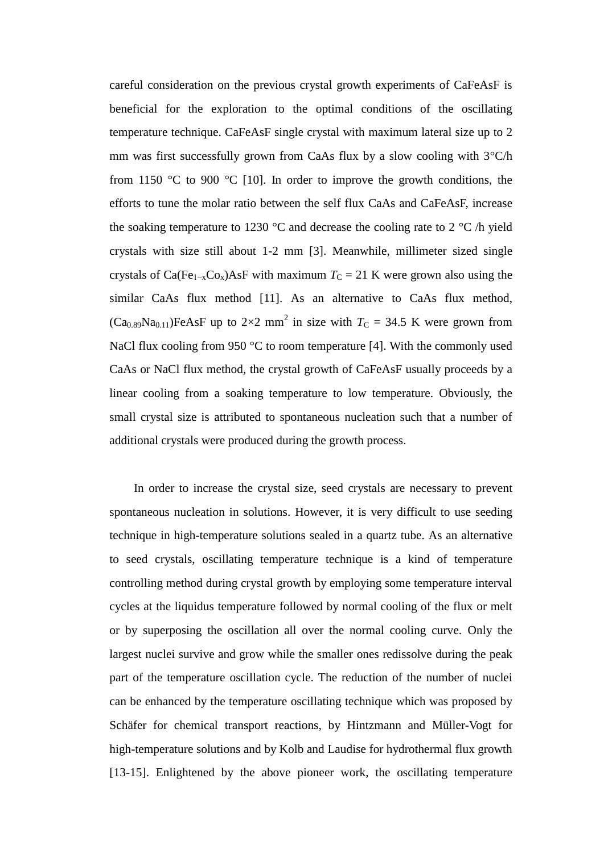careful consideration on the previous crystal growth experiments of CaFeAsF is beneficial for the exploration to the optimal conditions of the oscillating temperature technique. CaFeAsF single crystal with maximum lateral size up to 2 mm was first successfully grown from CaAs flux by a slow cooling with  $3 \text{ C/h}$ from 1150  $\mathcal C$  to 900  $\mathcal C$  [10]. In order to improve the growth conditions, the efforts to tune the molar ratio between the self flux CaAs and CaFeAsF, increase the soaking temperature to 1230  $\mathbb C$  and decrease the cooling rate to 2  $\mathbb C$  /h yield crystals with size still about 1-2 mm [3]. Meanwhile, millimeter sized single crystals of Ca(Fe<sub>1-x</sub>Co<sub>x</sub>)AsF with maximum  $T_c = 21$  K were grown also using the similar CaAs flux method [11]. As an alternative to CaAs flux method,  $(Ca_{0.89}Na_{0.11})FeAsF$  up to  $2\times2$  mm<sup>2</sup> in size with  $T_c = 34.5$  K were grown from NaCl flux cooling from 950  $\,^{\circ}$  C to room temperature [4]. With the commonly used CaAs or NaCl flux method, the crystal growth of CaFeAsF usually proceeds by a linear cooling from a soaking temperature to low temperature. Obviously, the small crystal size is attributed to spontaneous nucleation such that a number of additional crystals were produced during the growth process.

In order to increase the crystal size, seed crystals are necessary to prevent spontaneous nucleation in solutions. However, it is very difficult to use seeding technique in high-temperature solutions sealed in a quartz tube. As an alternative to seed crystals, oscillating temperature technique is a kind of temperature controlling method during crystal growth by employing some temperature interval cycles at the liquidus temperature followed by normal cooling of the flux or melt or by superposing the oscillation all over the normal cooling curve. Only the largest nuclei survive and grow while the smaller ones redissolve during the peak part of the temperature oscillation cycle. The reduction of the number of nuclei can be enhanced by the temperature oscillating technique which was proposed by Schäfer for chemical transport reactions, by Hintzmann and Müller-Vogt for high-temperature solutions and by Kolb and Laudise for hydrothermal flux growth [13-15]. Enlightened by the above pioneer work, the oscillating temperature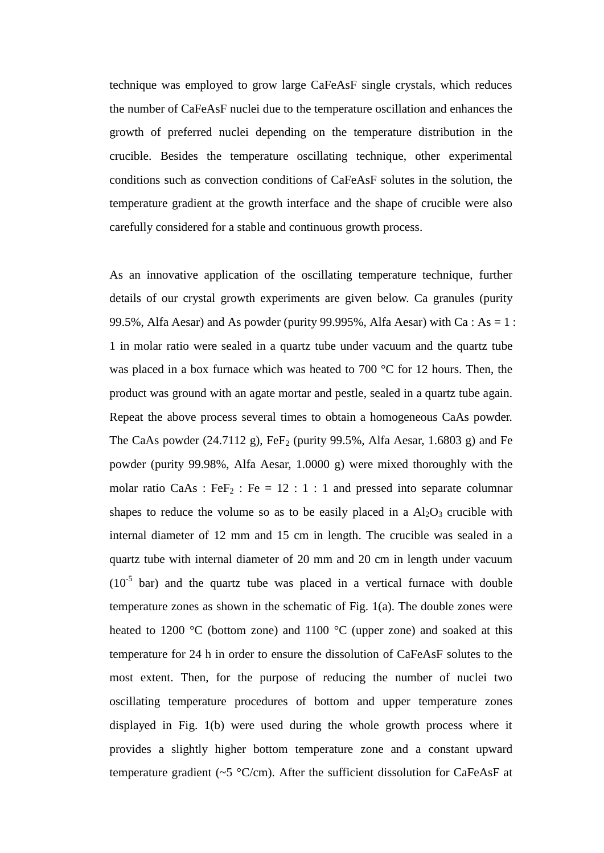technique was employed to grow large CaFeAsF single crystals, which reduces the number of CaFeAsF nuclei due to the temperature oscillation and enhances the growth of preferred nuclei depending on the temperature distribution in the crucible. Besides the temperature oscillating technique, other experimental conditions such as convection conditions of CaFeAsF solutes in the solution, the temperature gradient at the growth interface and the shape of crucible were also carefully considered for a stable and continuous growth process.

As an innovative application of the oscillating temperature technique, further details of our crystal growth experiments are given below. Ca granules (purity 99.5%, Alfa Aesar) and As powder (purity 99.995%, Alfa Aesar) with Ca : As = 1 : 1 in molar ratio were sealed in a quartz tube under vacuum and the quartz tube was placed in a box furnace which was heated to 700  $\degree$ C for 12 hours. Then, the product was ground with an agate mortar and pestle, sealed in a quartz tube again. Repeat the above process several times to obtain a homogeneous CaAs powder. The CaAs powder (24.7112 g),  $FeF<sub>2</sub>$  (purity 99.5%, Alfa Aesar, 1.6803 g) and Fe powder (purity 99.98%, Alfa Aesar, 1.0000 g) were mixed thoroughly with the molar ratio CaAs : Fe $F_2$  : Fe = 12 : 1 : 1 and pressed into separate columnar shapes to reduce the volume so as to be easily placed in a  $Al<sub>2</sub>O<sub>3</sub>$  crucible with internal diameter of 12 mm and 15 cm in length. The crucible was sealed in a quartz tube with internal diameter of 20 mm and 20 cm in length under vacuum  $(10<sup>-5</sup>$  bar) and the quartz tube was placed in a vertical furnace with double temperature zones as shown in the schematic of Fig. 1(a). The double zones were heated to 1200 °C (bottom zone) and 1100 °C (upper zone) and soaked at this temperature for 24 h in order to ensure the dissolution of CaFeAsF solutes to the most extent. Then, for the purpose of reducing the number of nuclei two oscillating temperature procedures of bottom and upper temperature zones displayed in Fig. 1(b) were used during the whole growth process where it provides a slightly higher bottom temperature zone and a constant upward temperature gradient ( $\sim$ 5 °C/cm). After the sufficient dissolution for CaFeAsF at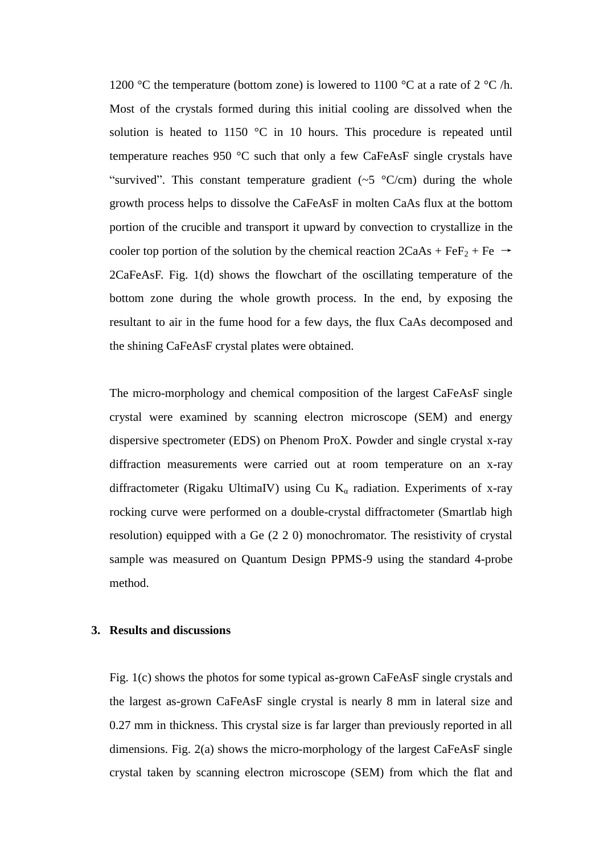1200 °C the temperature (bottom zone) is lowered to 1100 °C at a rate of 2 °C /h. Most of the crystals formed during this initial cooling are dissolved when the solution is heated to 1150  $\mathbb C$  in 10 hours. This procedure is repeated until temperature reaches 950  $\mathcal C$  such that only a few CaFeAsF single crystals have "survived". This constant temperature gradient  $(\sim 5 \text{ C/cm})$  during the whole growth process helps to dissolve the CaFeAsF in molten CaAs flux at the bottom portion of the crucible and transport it upward by convection to crystallize in the cooler top portion of the solution by the chemical reaction  $2CaAs + FeF<sub>2</sub> + Fe \rightarrow$ 2CaFeAsF. Fig. 1(d) shows the flowchart of the oscillating temperature of the bottom zone during the whole growth process. In the end, by exposing the resultant to air in the fume hood for a few days, the flux CaAs decomposed and the shining CaFeAsF crystal plates were obtained.

The micro-morphology and chemical composition of the largest CaFeAsF single crystal were examined by scanning electron microscope (SEM) and energy dispersive spectrometer (EDS) on Phenom ProX. Powder and single crystal x-ray diffraction measurements were carried out at room temperature on an x-ray diffractometer (Rigaku UltimaIV) using Cu  $K_{\alpha}$  radiation. Experiments of x-ray rocking curve were performed on a double-crystal diffractometer (Smartlab high resolution) equipped with a Ge (2 2 0) monochromator. The resistivity of crystal sample was measured on Quantum Design PPMS-9 using the standard 4-probe method.

# **3. Results and discussions**

Fig. 1(c) shows the photos for some typical as-grown CaFeAsF single crystals and the largest as-grown CaFeAsF single crystal is nearly 8 mm in lateral size and 0.27 mm in thickness. This crystal size is far larger than previously reported in all dimensions. Fig. 2(a) shows the micro-morphology of the largest CaFeAsF single crystal taken by scanning electron microscope (SEM) from which the flat and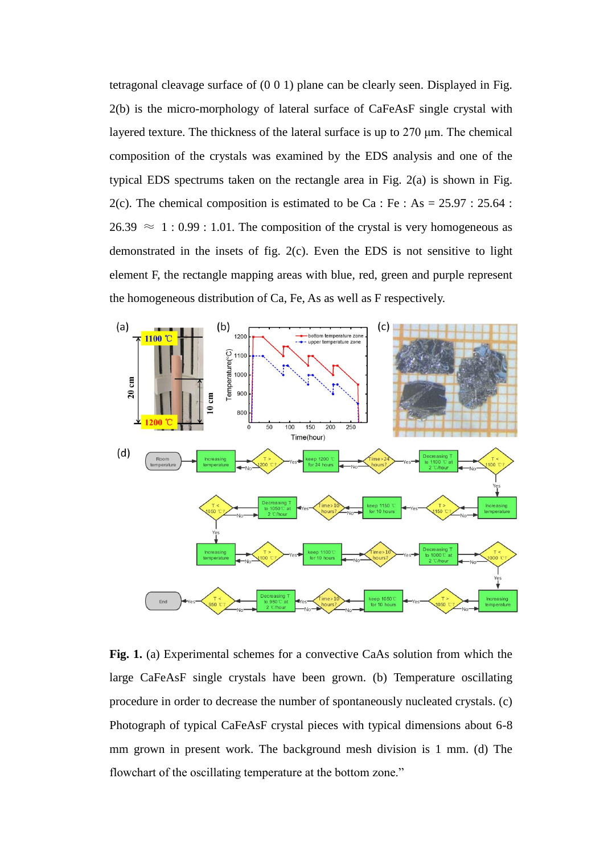tetragonal cleavage surface of (0 0 1) plane can be clearly seen. Displayed in Fig. 2(b) is the micro-morphology of lateral surface of CaFeAsF single crystal with layered texture. The thickness of the lateral surface is up to 270 μm. The chemical composition of the crystals was examined by the EDS analysis and one of the typical EDS spectrums taken on the rectangle area in Fig. 2(a) is shown in Fig. 2(c). The chemical composition is estimated to be Ca : Fe : As =  $25.97 : 25.64$  :  $26.39 \approx 1:0.99:1.01$ . The composition of the crystal is very homogeneous as demonstrated in the insets of fig. 2(c). Even the EDS is not sensitive to light element F, the rectangle mapping areas with blue, red, green and purple represent the homogeneous distribution of Ca, Fe, As as well as F respectively.



**Fig. 1.** (a) Experimental schemes for a convective CaAs solution from which the large CaFeAsF single crystals have been grown. (b) Temperature oscillating procedure in order to decrease the number of spontaneously nucleated crystals. (c) Photograph of typical CaFeAsF crystal pieces with typical dimensions about 6-8 mm grown in present work. The background mesh division is 1 mm. (d) The flowchart of the oscillating temperature at the bottom zone."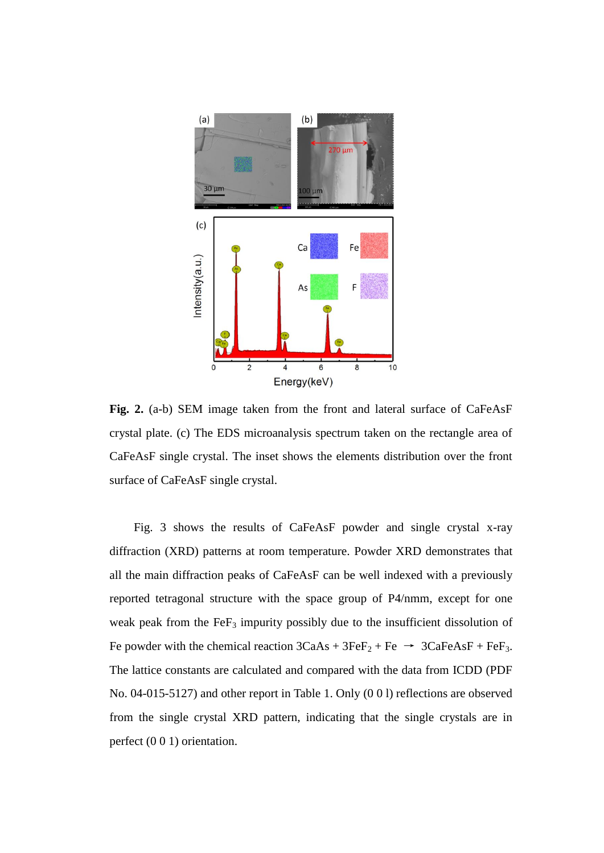

**Fig. 2.** (a-b) SEM image taken from the front and lateral surface of CaFeAsF crystal plate. (c) The EDS microanalysis spectrum taken on the rectangle area of CaFeAsF single crystal. The inset shows the elements distribution over the front surface of CaFeAsF single crystal.

Fig. 3 shows the results of CaFeAsF powder and single crystal x-ray diffraction (XRD) patterns at room temperature. Powder XRD demonstrates that all the main diffraction peaks of CaFeAsF can be well indexed with a previously reported tetragonal structure with the space group of P4/nmm, except for one weak peak from the FeF<sub>3</sub> impurity possibly due to the insufficient dissolution of Fe powder with the chemical reaction  $3CaAs + 3FeF<sub>2</sub> + Fe \rightarrow 3CaFeAsF + FeF<sub>3</sub>$ . The lattice constants are calculated and compared with the data from ICDD (PDF No. 04-015-5127) and other report in Table 1. Only (0 0 l) reflections are observed from the single crystal XRD pattern, indicating that the single crystals are in perfect (0 0 1) orientation.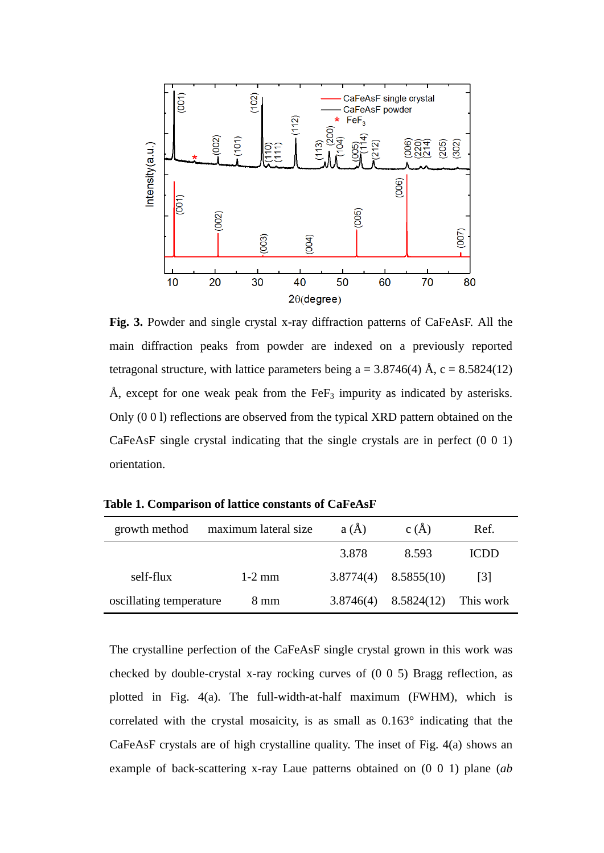

**Fig. 3.** Powder and single crystal x-ray diffraction patterns of CaFeAsF. All the main diffraction peaks from powder are indexed on a previously reported tetragonal structure, with lattice parameters being  $a = 3.8746(4)$  Å,  $c = 8.5824(12)$ Å, except for one weak peak from the  $FeF<sub>3</sub>$  impurity as indicated by asterisks. Only (0 0 l) reflections are observed from the typical XRD pattern obtained on the CaFeAsF single crystal indicating that the single crystals are in perfect (0 0 1) orientation.

| growth method           | maximum lateral size | $a(\AA)$  | c(A)                     | Ref.        |
|-------------------------|----------------------|-----------|--------------------------|-------------|
|                         |                      | 3.878     | 8.593                    | <b>ICDD</b> |
| self-flux               | $1-2$ mm             |           | $3.8774(4)$ $8.5855(10)$ | 131         |
| oscillating temperature | 8 mm                 | 3.8746(4) | 8.5824(12)               | This work   |

**Table 1. Comparison of lattice constants of CaFeAsF**

The crystalline perfection of the CaFeAsF single crystal grown in this work was checked by double-crystal x-ray rocking curves of (0 0 5) Bragg reflection, as plotted in Fig. 4(a). The full-width-at-half maximum (FWHM), which is correlated with the crystal mosaicity, is as small as  $0.163^{\circ}$  indicating that the CaFeAsF crystals are of high crystalline quality. The inset of Fig. 4(a) shows an example of back-scattering x-ray Laue patterns obtained on (0 0 1) plane (*ab*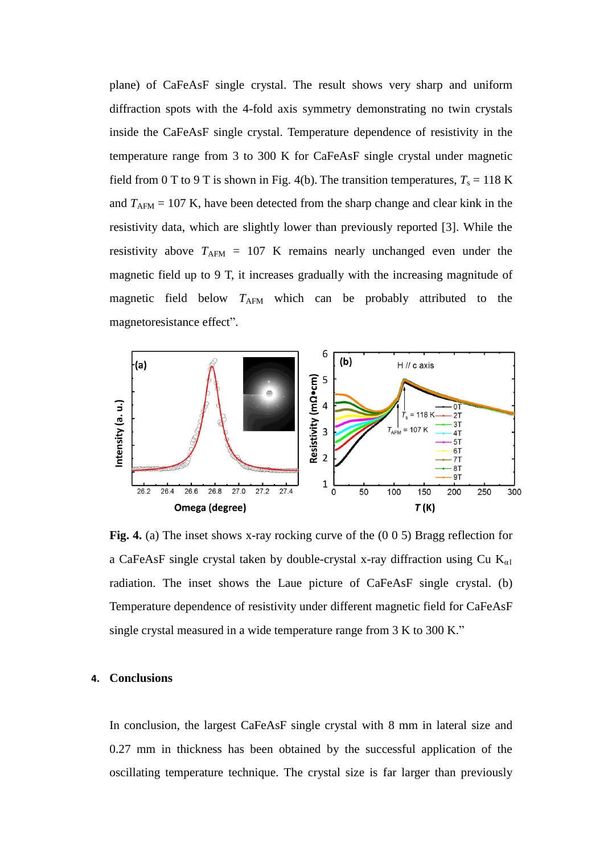plane) of CaFeAsF single crystal. The result shows very sharp and uniform diffraction spots with the 4-fold axis symmetry demonstrating no twin crystals inside the CaFeAsF single crystal. Temperature dependence of resistivity in the temperature range from 3 to 300 K for CaFeAsF single crystal under magnetic field from 0 T to 9 T is shown in Fig. 4(b). The transition temperatures,  $T_s = 118$  K and  $T_{AFM}$  = 107 K, have been detected from the sharp change and clear kink in the resistivity data, which are slightly lower than previously reported [3]. While the resistivity above  $T_{AFM}$  = 107 K remains nearly unchanged even under the magnetic field up to 9 T, it increases gradually with the increasing magnitude of magnetic field below  $T_{\text{AFM}}$  which can be probably attributed to the magnetoresistance effect".



**Fig. 4.** (a) The inset shows x-ray rocking curve of the (0 0 5) Bragg reflection for a CaFeAsF single crystal taken by double-crystal x-ray diffraction using Cu  $K_{\alpha l}$ radiation. The inset shows the Laue picture of CaFeAsF single crystal. (b) Temperature dependence of resistivity under different magnetic field for CaFeAsF single crystal measured in a wide temperature range from 3 K to 300 K."

#### **4. Conclusions**

In conclusion, the largest CaFeAsF single crystal with 8 mm in lateral size and 0.27 mm in thickness has been obtained by the successful application of the oscillating temperature technique. The crystal size is far larger than previously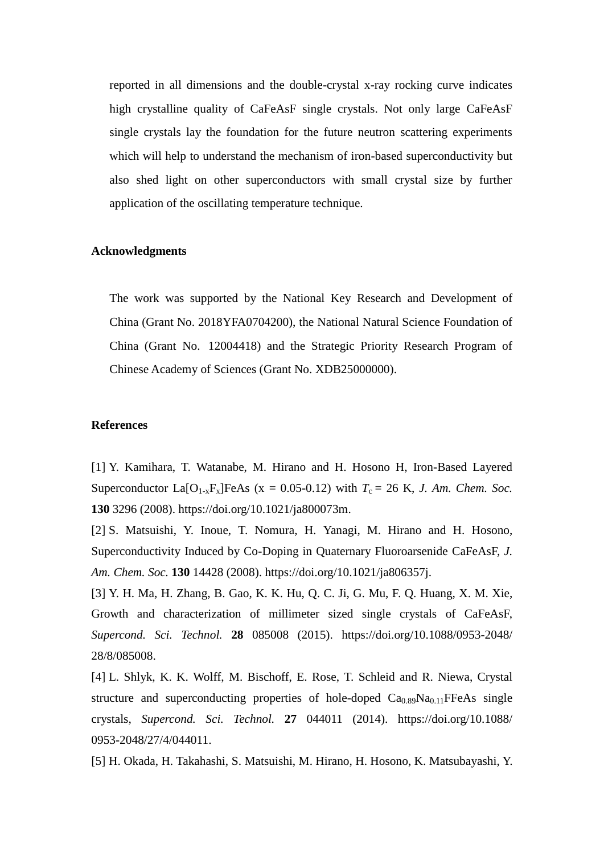reported in all dimensions and the double-crystal x-ray rocking curve indicates high crystalline quality of CaFeAsF single crystals. Not only large CaFeAsF single crystals lay the foundation for the future neutron scattering experiments which will help to understand the mechanism of iron-based superconductivity but also shed light on other superconductors with small crystal size by further application of the oscillating temperature technique.

# **Acknowledgments**

The work was supported by the National Key Research and Development of China (Grant No. 2018YFA0704200), the National Natural Science Foundation of China (Grant No. 12004418) and the Strategic Priority Research Program of Chinese Academy of Sciences (Grant No. XDB25000000).

### **References**

[1] Y. Kamihara, T. Watanabe, M. Hirano and H. Hosono H, Iron-Based Layered Superconductor La $[O_{1-x}F_x]$ FeAs (x = 0.05-0.12) with  $T_c = 26$  K, *J. Am. Chem. Soc.* **130** 3296 (2008). https://doi.org/10.1021/ja800073m.

[2] S. Matsuishi, Y. Inoue, T. Nomura, H. Yanagi, M. Hirano and H. Hosono, Superconductivity Induced by Co-Doping in Quaternary Fluoroarsenide CaFeAsF, *J. Am. Chem. Soc.* **130** 14428 (2008). https://doi.org/10.1021/ja806357j.

[3] Y. H. Ma, H. Zhang, B. Gao, K. K. Hu, Q. C. Ji, G. Mu, F. Q. Huang, X. M. Xie, Growth and characterization of millimeter sized single crystals of CaFeAsF, *Supercond. Sci. Technol.* **28** 085008 (2015). https://doi.org/10.1088/0953-2048/ 28/8/085008.

[4] L. Shlyk, K. K. Wolff, M. Bischoff, E. Rose, T. Schleid and R. Niewa, Crystal structure and superconducting properties of hole-doped  $Ca<sub>0.89</sub>Na<sub>0.11</sub>FFeAs single$ crystals, *Supercond. Sci. Technol.* **27** 044011 (2014). https://doi.org/10.1088/ 0953-2048/27/4/044011.

[5] H. Okada, H. Takahashi, S. Matsuishi, M. Hirano, H. Hosono, K. Matsubayashi, Y.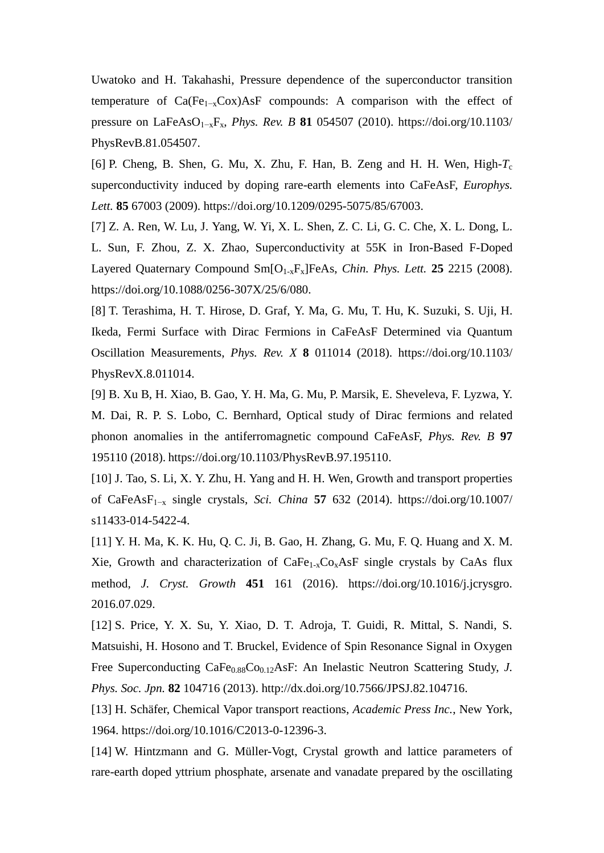Uwatoko and H. Takahashi, Pressure dependence of the superconductor transition temperature of  $Ca(Fe_{1-x}Cox)AsF$  compounds: A comparison with the effect of pressure on LaFeAsO1−xFx, *Phys. Rev. B* **81** 054507 (2010). https://doi.org/10.1103/ PhysRevB.81.054507.

[6] P. Cheng, B. Shen, G. Mu, X. Zhu, F. Han, B. Zeng and H. H. Wen, High- $T_c$ superconductivity induced by doping rare-earth elements into CaFeAsF, *Europhys. Lett.* **85** 67003 (2009). https://doi.org/10.1209/0295-5075/85/67003.

[7] Z. A. Ren, W. Lu, J. Yang, W. Yi, X. L. Shen, Z. C. Li, G. C. Che, X. L. Dong, L. L. Sun, F. Zhou, Z. X. Zhao, Superconductivity at 55K in Iron-Based F-Doped Layered Quaternary Compound Sm[O<sub>1-x</sub>F<sub>x</sub>]FeAs, *Chin. Phys. Lett.* **25** 2215 (2008). https://doi.org/10.1088/0256-307X/25/6/080.

[8] T. Terashima, H. T. Hirose, D. Graf, Y. Ma, G. Mu, T. Hu, K. Suzuki, S. Uji, H. Ikeda, Fermi Surface with Dirac Fermions in CaFeAsF Determined via Quantum Oscillation Measurements, *Phys. Rev. X* **8** 011014 (2018). https://doi.org/10.1103/ PhysRevX.8.011014.

[9] B. Xu B, H. Xiao, B. Gao, Y. H. Ma, G. Mu, P. Marsik, E. Sheveleva, F. Lyzwa, Y. M. Dai, R. P. S. Lobo, C. Bernhard, Optical study of Dirac fermions and related phonon anomalies in the antiferromagnetic compound CaFeAsF, *Phys. Rev. B* **97** 195110 (2018). https://doi.org/10.1103/PhysRevB.97.195110.

[10] J. Tao, S. Li, X. Y. Zhu, H. Yang and H. H. Wen, Growth and transport properties of CaFeAsF1−x single crystals, *Sci. China* **57** 632 (2014). https://doi.org/10.1007/ s11433-014-5422-4.

[11] Y. H. Ma, K. K. Hu, Q. C. Ji, B. Gao, H. Zhang, G. Mu, F. Q. Huang and X. M. Xie, Growth and characterization of  $CaFe<sub>1-x</sub>Co<sub>x</sub>AsF$  single crystals by CaAs flux method, *J. Cryst. Growth* **451** 161 (2016). https://doi.org/10.1016/j.jcrysgro. 2016.07.029.

[12] S. Price, Y. X. Su, Y. Xiao, D. T. Adroja, T. Guidi, R. Mittal, S. Nandi, S. Matsuishi, H. Hosono and T. Bruckel, Evidence of Spin Resonance Signal in Oxygen Free Superconducting CaFe<sub>0.88</sub>Co<sub>0.12</sub>AsF: An Inelastic Neutron Scattering Study, *J. Phys. Soc. Jpn.* **82** 104716 (2013). http://dx.doi.org/10.7566/JPSJ.82.104716.

[13] H. Schäfer, Chemical Vapor transport reactions, *Academic Press Inc.*, New York, 1964. https://doi.org/10.1016/C2013-0-12396-3.

[14] W. Hintzmann and G. Müller-Vogt, Crystal growth and lattice parameters of rare-earth doped yttrium phosphate, arsenate and vanadate prepared by the oscillating